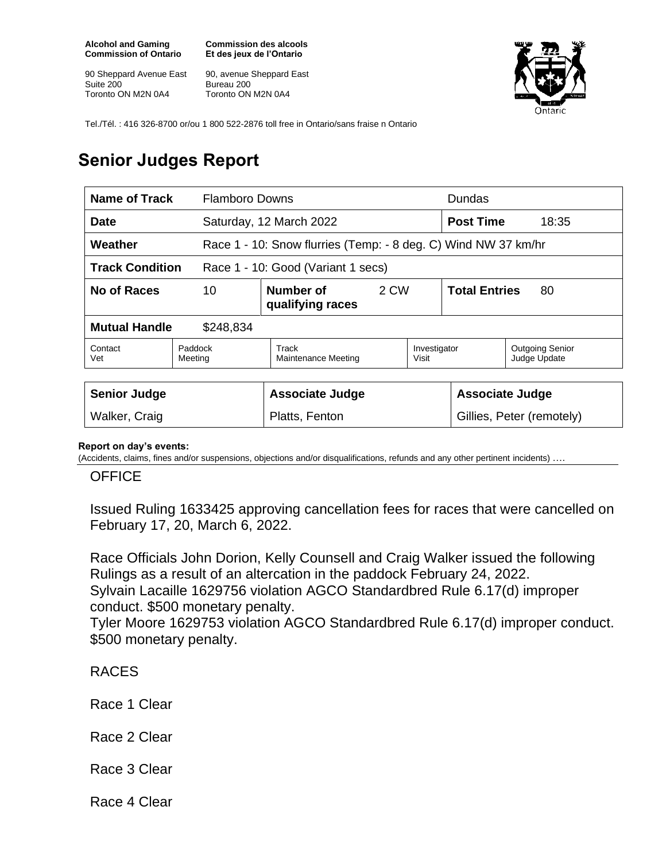**Alcohol and Gaming Commission of Ontario**

90 Sheppard Avenue East Suite 200 Toronto ON M2N 0A4

**Commission des alcools Et des jeux de l'Ontario**

90, avenue Sheppard East Bureau 200 Toronto ON M2N 0A4



Tel./Tél. : 416 326-8700 or/ou 1 800 522-2876 toll free in Ontario/sans fraise n Ontario

## **Senior Judges Report**

| Name of Track<br><b>Flamboro Downs</b>                       |                    |                                                                |      | <b>Dundas</b>             |                            |                                        |
|--------------------------------------------------------------|--------------------|----------------------------------------------------------------|------|---------------------------|----------------------------|----------------------------------------|
| Date                                                         |                    | Saturday, 12 March 2022                                        |      |                           | <b>Post Time</b><br>18:35  |                                        |
| Weather                                                      |                    | Race 1 - 10: Snow flurries (Temp: - 8 deg. C) Wind NW 37 km/hr |      |                           |                            |                                        |
| <b>Track Condition</b><br>Race 1 - 10: Good (Variant 1 secs) |                    |                                                                |      |                           |                            |                                        |
| 10<br>No of Races                                            |                    | Number of<br>qualifying races                                  | 2 CW |                           | <b>Total Entries</b><br>80 |                                        |
| <b>Mutual Handle</b><br>\$248,834                            |                    |                                                                |      |                           |                            |                                        |
| Contact<br>Vet                                               | Paddock<br>Meeting | Track<br>Maintenance Meeting                                   |      | Investigator<br>Visit     |                            | <b>Outgoing Senior</b><br>Judge Update |
|                                                              |                    |                                                                |      |                           |                            |                                        |
| <b>Senior Judge</b>                                          |                    | <b>Associate Judge</b>                                         |      | <b>Associate Judge</b>    |                            |                                        |
| Walker, Craig                                                |                    | Platts, Fenton                                                 |      | Gillies, Peter (remotely) |                            |                                        |

## **Report on day's events:**

(Accidents, claims, fines and/or suspensions, objections and/or disqualifications, refunds and any other pertinent incidents) ….

## **OFFICE**

Issued Ruling 1633425 approving cancellation fees for races that were cancelled on February 17, 20, March 6, 2022.

Race Officials John Dorion, Kelly Counsell and Craig Walker issued the following Rulings as a result of an altercation in the paddock February 24, 2022. Sylvain Lacaille 1629756 violation AGCO Standardbred Rule 6.17(d) improper conduct. \$500 monetary penalty.

Tyler Moore 1629753 violation AGCO Standardbred Rule 6.17(d) improper conduct. \$500 monetary penalty.

RACES

Race 1 Clear

Race 2 Clear

Race 3 Clear

Race 4 Clear